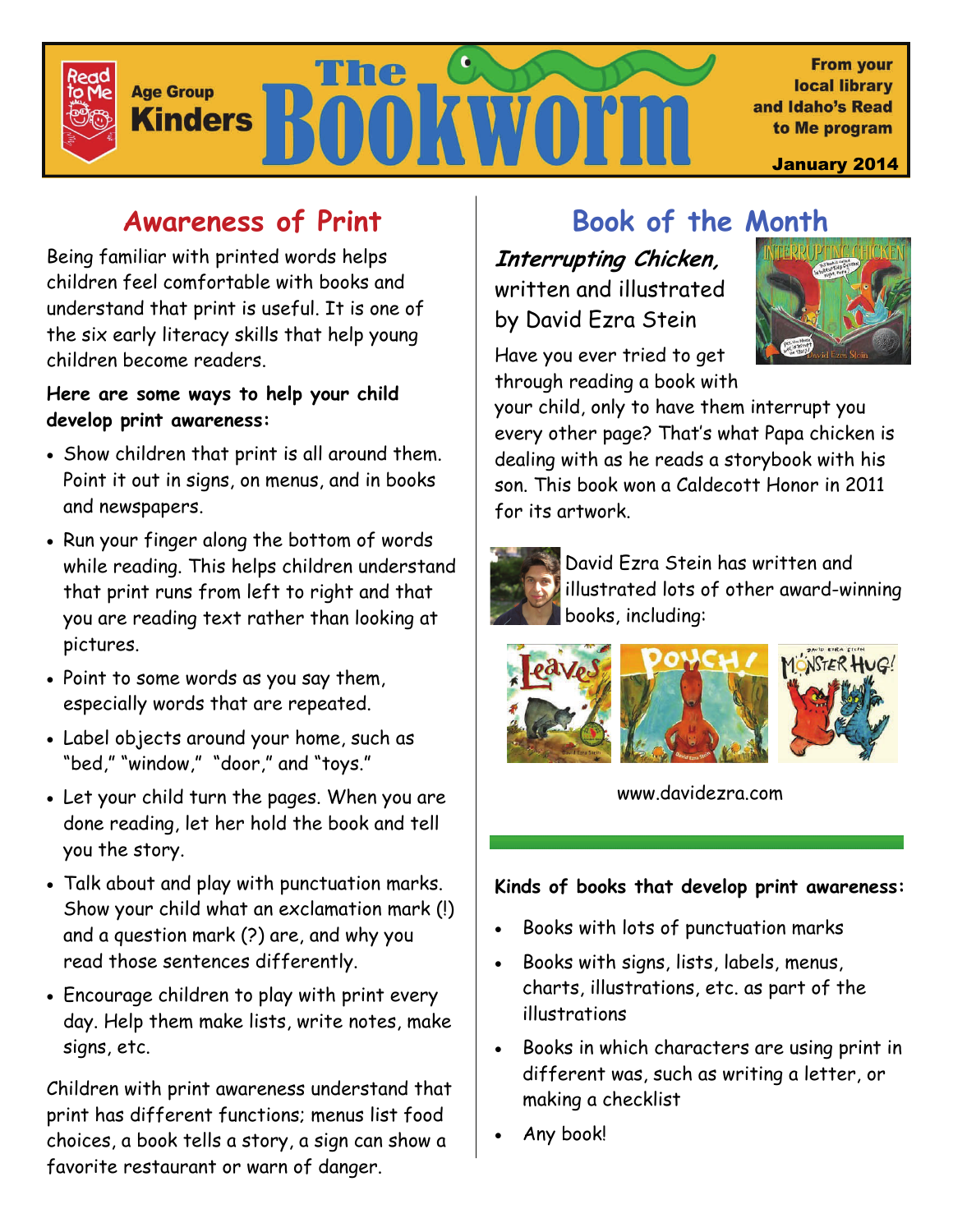

# **Awareness of Print**

Being familiar with printed words helps children feel comfortable with books and understand that print is useful. It is one of the six early literacy skills that help young children become readers.

#### **Here are some ways to help your child develop print awareness:**

- Show children that print is all around them. Point it out in signs, on menus, and in books and newspapers.
- Run your finger along the bottom of words while reading. This helps children understand that print runs from left to right and that you are reading text rather than looking at pictures.
- Point to some words as you say them, especially words that are repeated.
- Label objects around your home, such as "bed," "window," "door," and "toys."
- Let your child turn the pages. When you are done reading, let her hold the book and tell you the story.
- Talk about and play with punctuation marks. Show your child what an exclamation mark (!) and a question mark (?) are, and why you read those sentences differently.
- Encourage children to play with print every day. Help them make lists, write notes, make signs, etc.

Children with print awareness understand that print has different functions; menus list food choices, a book tells a story, a sign can show a favorite restaurant or warn of danger.

# **Book of the Month**

**Interrupting Chicken,**  written and illustrated by David Ezra Stein



Have you ever tried to get through reading a book with

your child, only to have them interrupt you every other page? That's what Papa chicken is dealing with as he reads a storybook with his son. This book won a Caldecott Honor in 2011 for its artwork.



David Ezra Stein has written and illustrated lots of other award-winning books, including:



www.davidezra.com

### **Kinds of books that develop print awareness:**

- Books with lots of punctuation marks
- Books with signs, lists, labels, menus, charts, illustrations, etc. as part of the illustrations
- Books in which characters are using print in different was, such as writing a letter, or making a checklist
- Any book!